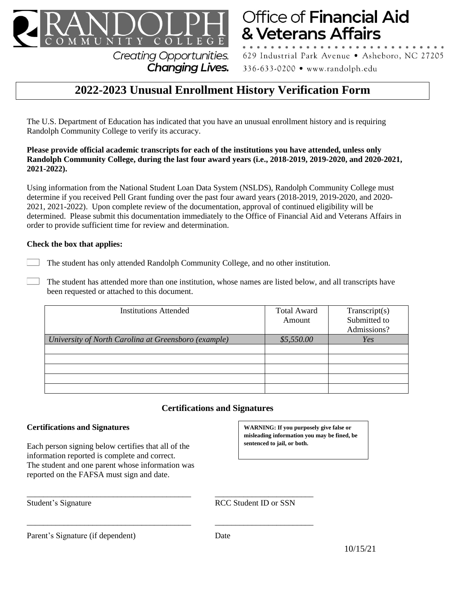

**Creating Opportunities. Changing Lives.** 

# Office of Financial Aid & Veterans Affairs

629 Industrial Park Avenue · Asheboro, NC 27205 336-633-0200 • www.randolph.edu

# **2022-2023 Unusual Enrollment History Verification Form**

The U.S. Department of Education has indicated that you have an unusual enrollment history and is requiring Randolph Community College to verify its accuracy.

#### **Please provide official academic transcripts for each of the institutions you have attended, unless only Randolph Community College, during the last four award years (i.e., 2018-2019, 2019-2020, and 2020-2021, 2021-2022).**

Using information from the National Student Loan Data System (NSLDS), Randolph Community College must determine if you received Pell Grant funding over the past four award years (2018-2019, 2019-2020, and 2020- 2021, 2021-2022). Upon complete review of the documentation, approval of continued eligibility will be determined. Please submit this documentation immediately to the Office of Financial Aid and Veterans Affairs in order to provide sufficient time for review and determination.

## **Check the box that applies:**

- The student has only attended Randolph Community College, and no other institution.
- The student has attended more than one institution, whose names are listed below, and all transcripts have been requested or attached to this document.

| <b>Institutions Attended</b>                         | <b>Total Award</b><br>Amount | Transcript(s)<br>Submitted to<br>Admissions? |
|------------------------------------------------------|------------------------------|----------------------------------------------|
| University of North Carolina at Greensboro (example) | \$5,550.00                   | Yes                                          |
|                                                      |                              |                                              |
|                                                      |                              |                                              |
|                                                      |                              |                                              |
|                                                      |                              |                                              |
|                                                      |                              |                                              |

# **Certifications and Signatures**

## **Certifications and Signatures**

Each person signing below certifies that all of the information reported is complete and correct. The student and one parent whose information was reported on the FAFSA must sign and date.

**WARNING: If you purposely give false or misleading information you may be fined, be sentenced to jail, or both.**

\_\_\_\_\_\_\_\_\_\_\_\_\_\_\_\_\_\_\_\_\_\_\_\_\_\_\_\_\_\_\_\_\_\_\_\_\_\_\_\_ \_\_\_\_\_\_\_\_\_\_\_\_\_\_\_\_\_\_\_\_\_\_\_\_ RCC Student ID or SSN

Parent's Signature (if dependent) Date

\_\_\_\_\_\_\_\_\_\_\_\_\_\_\_\_\_\_\_\_\_\_\_\_\_\_\_\_\_\_\_\_\_\_\_\_\_\_\_\_ \_\_\_\_\_\_\_\_\_\_\_\_\_\_\_\_\_\_\_\_\_\_\_\_